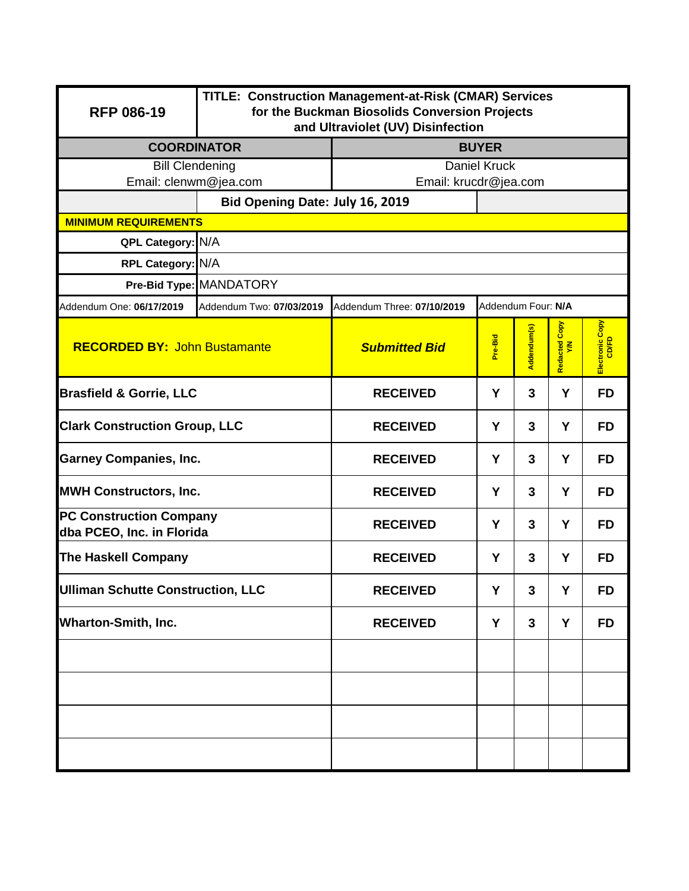| <b>RFP 086-19</b>                                           | TITLE: Construction Management-at-Risk (CMAR) Services<br>for the Buckman Biosolids Conversion Projects<br>and Ultraviolet (UV) Disinfection                                                                                                                                                                                                                                                                                                                 |                       |   |   |   |           |  |  |  |
|-------------------------------------------------------------|--------------------------------------------------------------------------------------------------------------------------------------------------------------------------------------------------------------------------------------------------------------------------------------------------------------------------------------------------------------------------------------------------------------------------------------------------------------|-----------------------|---|---|---|-----------|--|--|--|
| <b>COORDINATOR</b>                                          |                                                                                                                                                                                                                                                                                                                                                                                                                                                              | <b>BUYER</b>          |   |   |   |           |  |  |  |
| <b>Bill Clendening</b>                                      |                                                                                                                                                                                                                                                                                                                                                                                                                                                              | <b>Daniel Kruck</b>   |   |   |   |           |  |  |  |
| Email: clenwm@jea.com                                       |                                                                                                                                                                                                                                                                                                                                                                                                                                                              | Email: krucdr@jea.com |   |   |   |           |  |  |  |
| <b>MINIMUM REQUIREMENTS</b>                                 | Bid Opening Date: July 16, 2019                                                                                                                                                                                                                                                                                                                                                                                                                              |                       |   |   |   |           |  |  |  |
|                                                             |                                                                                                                                                                                                                                                                                                                                                                                                                                                              |                       |   |   |   |           |  |  |  |
|                                                             |                                                                                                                                                                                                                                                                                                                                                                                                                                                              |                       |   |   |   |           |  |  |  |
|                                                             | QPL Category: N/A<br>RPL Category: N/A<br>Pre-Bid Type: MANDATORY<br>Addendum Four: N/A<br>Addendum Two: 07/03/2019<br>Addendum Three: 07/10/2019<br>Electronic Copy<br>CD/FD<br>Copy<br>Addendum(s)<br>Pre-Bid<br>Redacted (<br><b>RECORDED BY: John Bustamante</b><br><b>Submitted Bid</b><br>Y<br>3<br><b>RECEIVED</b><br>Y<br><b>FD</b><br>Y<br>3<br>Y<br><b>FD</b><br><b>RECEIVED</b><br><b>FD</b><br>Y<br>3<br>Y<br><b>RECEIVED</b><br><b>RECEIVED</b> |                       |   |   |   |           |  |  |  |
| Addendum One: 06/17/2019                                    |                                                                                                                                                                                                                                                                                                                                                                                                                                                              |                       |   |   |   |           |  |  |  |
|                                                             |                                                                                                                                                                                                                                                                                                                                                                                                                                                              |                       |   |   |   |           |  |  |  |
| <b>Brasfield &amp; Gorrie, LLC</b>                          |                                                                                                                                                                                                                                                                                                                                                                                                                                                              |                       |   |   |   |           |  |  |  |
|                                                             | <b>Clark Construction Group, LLC</b>                                                                                                                                                                                                                                                                                                                                                                                                                         |                       |   |   |   |           |  |  |  |
| <b>Garney Companies, Inc.</b>                               |                                                                                                                                                                                                                                                                                                                                                                                                                                                              |                       |   |   |   |           |  |  |  |
| <b>MWH Constructors, Inc.</b>                               |                                                                                                                                                                                                                                                                                                                                                                                                                                                              |                       | Y | 3 | Y | <b>FD</b> |  |  |  |
| <b>PC Construction Company</b><br>dba PCEO, Inc. in Florida |                                                                                                                                                                                                                                                                                                                                                                                                                                                              | <b>RECEIVED</b>       | Y | 3 | Y | <b>FD</b> |  |  |  |
| <b>The Haskell Company</b>                                  |                                                                                                                                                                                                                                                                                                                                                                                                                                                              | <b>RECEIVED</b>       | Y | 3 | Y | <b>FD</b> |  |  |  |
| <b>Ulliman Schutte Construction, LLC</b>                    |                                                                                                                                                                                                                                                                                                                                                                                                                                                              | <b>RECEIVED</b>       | Y | 3 | Υ | <b>FD</b> |  |  |  |
| <b>Wharton-Smith, Inc.</b>                                  |                                                                                                                                                                                                                                                                                                                                                                                                                                                              | <b>RECEIVED</b>       | Y | 3 | Y | <b>FD</b> |  |  |  |
|                                                             |                                                                                                                                                                                                                                                                                                                                                                                                                                                              |                       |   |   |   |           |  |  |  |
|                                                             |                                                                                                                                                                                                                                                                                                                                                                                                                                                              |                       |   |   |   |           |  |  |  |
|                                                             |                                                                                                                                                                                                                                                                                                                                                                                                                                                              |                       |   |   |   |           |  |  |  |
|                                                             |                                                                                                                                                                                                                                                                                                                                                                                                                                                              |                       |   |   |   |           |  |  |  |